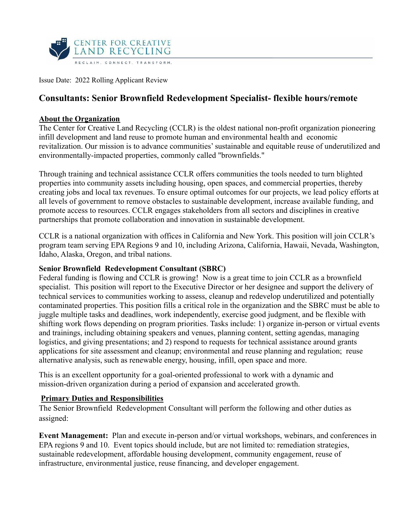

Issue Date: 2022 Rolling Applicant Review

# **Consultants: Senior Brownfield Redevelopment Specialist- flexible hours/remote**

#### **About the Organization**

The Center for Creative Land Recycling (CCLR) is the oldest national non-profit organization pioneering infill development and land reuse to promote human and environmental health and economic revitalization. Our mission is to advance communities' sustainable and equitable reuse of underutilized and environmentally-impacted properties, commonly called "brownfields."

Through training and technical assistance CCLR offers communities the tools needed to turn blighted properties into community assets including housing, open spaces, and commercial properties, thereby creating jobs and local tax revenues. To ensure optimal outcomes for our projects, we lead policy efforts at all levels of government to remove obstacles to sustainable development, increase available funding, and promote access to resources. CCLR engages stakeholders from all sectors and disciplines in creative partnerships that promote collaboration and innovation in sustainable development.

CCLR is a national organization with offices in California and New York. This position will join CCLR's program team serving EPA Regions 9 and 10, including Arizona, California, Hawaii, Nevada, Washington, Idaho, Alaska, Oregon, and tribal nations.

#### **Senior Brownfield Redevelopment Consultant (SBRC)**

Federal funding is flowing and CCLR is growing! Now is a great time to join CCLR as a brownfield specialist. This position will report to the Executive Director or her designee and support the delivery of technical services to communities working to assess, cleanup and redevelop underutilized and potentially contaminated properties. This position fills a critical role in the organization and the SBRC must be able to juggle multiple tasks and deadlines, work independently, exercise good judgment, and be flexible with shifting work flows depending on program priorities. Tasks include: 1) organize in-person or virtual events and trainings, including obtaining speakers and venues, planning content, setting agendas, managing logistics, and giving presentations; and 2) respond to requests for technical assistance around grants applications for site assessment and cleanup; environmental and reuse planning and regulation; reuse alternative analysis, such as renewable energy, housing, infill, open space and more.

This is an excellent opportunity for a goal-oriented professional to work with a dynamic and mission-driven organization during a period of expansion and accelerated growth.

### **Primary Duties and Responsibilities**

The Senior Brownfield Redevelopment Consultant will perform the following and other duties as assigned:

**Event Management:** Plan and execute in-person and/or virtual workshops, webinars, and conferences in EPA regions 9 and 10. Event topics should include, but are not limited to: remediation strategies, sustainable redevelopment, affordable housing development, community engagement, reuse of infrastructure, environmental justice, reuse financing, and developer engagement.